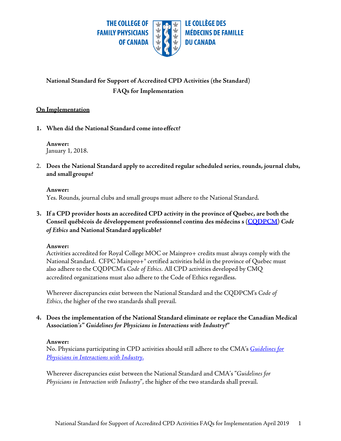

# **National Standard for Support of Accredited CPD Activities (the Standard) FAQs for Implementation**

## **On Implementation**

1. When did the National Standard come into effect?

**Answer:** January 1, 2018.

2. **Does the National Standard apply to accredited regular scheduled series**, **rounds, journal clubs, and smallgroups?**

**Answer:** Yes. Rounds, journal clubs and small groups must adhere to the National Standard.

## **3. If a CPD provider hosts an accredited CPD activity in the province of Quebec, are both the Conseil québécois de développement professionnel continu des médecins s [\(CQDPCM\)](http://cqdpcm.ca/)** *Code of Ethics* **and National Standard applicable?**

### **Answer:**

Activities accredited for Royal College MOC or Mainpro+ credits must always comply with the National Standard. CFPC Mainpro+® certified activities held in the province of Quebec must also adhere to the CQDPCM's *Code of Ethics.* All CPD activities developed by CMQ accredited organizations must also adhere to the Code of Ethics regardless.

Wherever discrepancies exist between the National Standard and the CQDPCM's *Code of Ethics*, the higher of the two standards shall prevail.

## **4. Does the implementation of the National Standard eliminate or replace the Canadian Medical Association***'s" Guidelines for Physicians in Interactions with Industry***?"**

### **Answer:**

No. Physicians participating in CPD activities should still adhere to the CMA's *[Guidelines](http://policybase.cma.ca/dbtw-wpd/Policypdf/PD08-01.pdf) [for](http://policybase.cma.ca/dbtw-wpd/Policypdf/PD08-01.pdf)  [Physicians in Interactions with Industry](http://policybase.cma.ca/dbtw-wpd/Policypdf/PD08-01.pdf)*.

Wherever discrepancies exist between the National Standard and CMA's "*Guidelines for Physicians in Interaction with Industry*", the higher of the two standards shall prevail.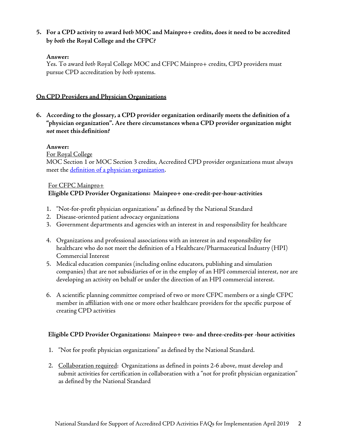## **5. For a CPD activity to award** *both* **MOC and Mainpro+ credits, does it need to be accredited by** *both* **the Royal College and the CFPC?**

### **Answer:**

Yes. To award *both* Royal College MOC and CFPC Mainpro+ credits, CPD providers must pursue CPD accreditation by *both* systems.

## **On CPD Providers and Physician Organizations**

**6. According to the glossary, a CPD provider organization ordinarily meets the definition of a "physician organization". Are there circumstances whena CPD provider organization might**  *not* **meet thisdefinition?**

## **Answer:**

For Royal College

MOC Section 1 or MOC Section 3 credits, Accredited CPD provider organizations must always meet the [definition of a physician organization.](http://www.royalcollege.ca/rcsite/cpd/accreditation/guidelines/what-is-physician-organization-e)

## For CFPC Mainpro+

## **Eligible CPD Provider Organizations: Mainpro+ one-credit-per-hour-activities**

- 1. "Not-for-profit physician organizations" as defined by the National Standard
- 2. Disease-oriented patient advocacy organizations
- 3. Government departments and agencies with an interest in and responsibility for healthcare
- 4. Organizations and professional associations with an interest in and responsibility for healthcare who do not meet the definition of a Healthcare/Pharmaceutical Industry (HPI) Commercial Interest
- 5. Medical education companies (including online educators, publishing and simulation companies) that are not subsidiaries of or in the employ of an HPI commercial interest, nor are developing an activity on behalf or under the direction of an HPI commercial interest.
- 6. A scientific planning committee comprised of two or more CFPC members or a single CFPC member in affiliation with one or more other healthcare providers for the specific purpose of creating CPD activities

## **Eligible CPD Provider Organizations: Mainpro+ two- and three-credits-per -hour activities**

- 1. "Not for profit physician organizations" as defined by the National Standard.
- 2. Collaboration required: Organizations as defined in points 2-6 above, must develop and submit activities for certification in collaboration with a "not for profit physician organization" as defined by the National Standard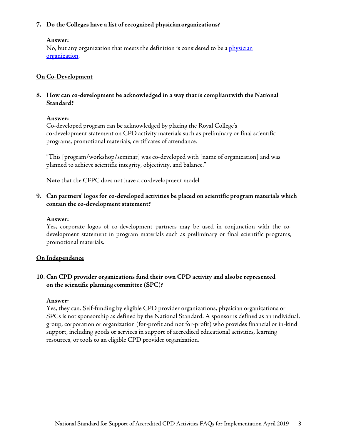### **7. Do the Colleges have a list of recognized physicianorganizations?**

#### **Answer:**

No, but any organization that meets the definition is considered to be a <u>physician</u> [organization.](http://www.royalcollege.ca/rcsite/cpd/accreditation/guidelines/what-is-physician-organization-e)

## **On Co-Development**

**8. How can co-development be acknowledged in a way that is compliantwith the National Standard?** 

#### **Answer:**

Co-developed program can be acknowledged by placing the Royal College's co-development statement on CPD activity materials such as preliminary or final scientific programs, promotional materials, certificates of attendance.

"This [program/workshop/seminar] was co-developed with [name of organization] and was planned to achieve scientific integrity, objectivity, and balance."

**Note** that the CFPC does not have a co-development model

## **9. Can partners' logos for co-developed activities be placed on scientific program materials which contain the co-development statement?**

#### **Answer:**

Yes, corporate logos of co-development partners may be used in conjunction with the codevelopment statement in program materials such as preliminary or final scientific programs, promotional materials.

### **On Independence**

## **10. Can CPD provider organizations fund their own CPD activity and alsobe represented on the scientific planning committee (SPC)?**

#### **Answer:**

Yes, they can. Self-funding by eligible CPD provider organizations, physician organizations or SPCs is not sponsorship as defined by the National Standard. A sponsor is defined as an individual, group, corporation or organization (for-profit and not for-profit) who provides financial or in-kind support, including goods or services in support of accredited educational activities, learning resources, or tools to an eligible CPD provider organization.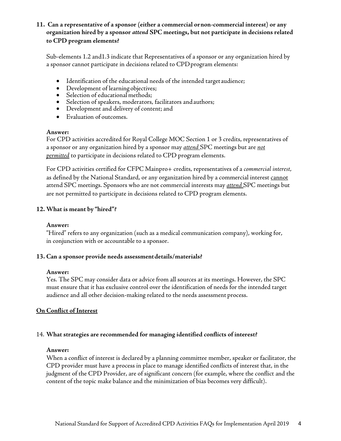## **11. Can a representative of a sponsor (either a commercial ornon-commercial interest) or any organization hired by a sponsor** *attend* **SPC meetings, but not participate in decisions related to CPD program elements?**

Sub-elements 1.2 and1.3 indicate that Representatives of a sponsor or any organization hired by a sponsor cannot participate in decisions related to CPDprogram elements:

- Identification of the educational needs of the intended targetaudience;
- Development of learning objectives;
- Selection of educational methods;
- Selection of speakers, moderators, facilitators and authors;
- Development and delivery of content; and
- Evaluation of outcomes.

#### **Answer:**

For CPD activities accredited for Royal College MOC Section 1 or 3 credits, representatives of a sponsor or any organization hired by a sponsor may *attend* SPC meetings but are *not permitted* to participate in decisions related to CPD program elements.

For CPD activities certified for CFPC Mainpro+ credits, representatives of a *commercial interest*, as defined by the National Standard, or any organization hired by a commercial interest cannot attend SPC meetings. Sponsors who are not commercial interests may *attend* SPC meetings but are not permitted to participate in decisions related to CPD program elements.

#### **12. What is meant by "hired"?**

#### **Answer:**

"Hired" refers to any organization (such as a medical communication company), working for, in conjunction with or accountable to a sponsor.

#### **13. Can a sponsor provide needs assessmentdetails/materials?**

#### **Answer:**

Yes. The SPC may consider data or advice from all sources at its meetings. However, the SPC must ensure that it has exclusive control over the identification of needs for the intended target audience and all other decision-making related to the needs assessment process.

### **On Conflict of Interest**

#### 14. **What strategies are recommended for managing identified conflicts of interest?**

#### **Answer:**

When a conflict of interest is declared by a planning committee member, speaker or facilitator, the CPD provider must have a process in place to manage identified conflicts of interest that, in the judgment of the CPD Provider, are of significant concern (for example, where the conflict and the content of the topic make balance and the minimization of bias becomes very difficult).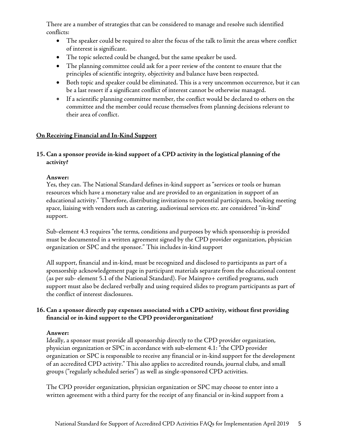There are a number of strategies that can be considered to manage and resolve such identified conflicts:

- The speaker could be required to alter the focus of the talk to limit the areas where conflict of interest is significant.
- The topic selected could be changed, but the same speaker be used.
- The planning committee could ask for a peer review of the content to ensure that the principles of scientific integrity, objectivity and balance have been respected.
- Both topic and speaker could be eliminated. This is a very uncommon occurrence, but it can be a last resort if a significant conflict of interest cannot be otherwise managed.
- If a scientific planning committee member, the conflict would be declared to others on the committee and the member could recuse themselves from planning decisions relevant to their area of conflict.

## **On Receiving Financial and In-Kind Support**

## **15. Can a sponsor provide in-kind support of a CPD activity in the logistical planning of the activity?**

### **Answer:**

Yes, they can. The National Standard defines in-kind support as "services or tools or human resources which have a monetary value and are provided to an organization in support of an educational activity." Therefore, distributing invitations to potential participants, booking meeting space, liaising with vendors such as catering, audiovisual services etc. are considered "in-kind" support.

Sub-element 4.3 requires "the terms, conditions and purposes by which sponsorship is provided must be documented in a written agreement signed by the CPD provider organization, physician organization or SPC and the sponsor." This includes in-kind support

All support, financial and in-kind, must be recognized and disclosed to participants as part of a sponsorship acknowledgement page in participant materials separate from the educational content (as per sub- element 5.1 of the National Standard). For Mainpro+ certified programs, such support must also be declared verbally and using required slides to program participants as part of the conflict of interest disclosures.

## **16. Can a sponsor directly pay expenses associated with a CPD activity, without first providing financial or in-kind support to the CPD providerorganization?**

### **Answer:**

Ideally, a sponsor must provide all sponsorship directly to the CPD provider organization, physician organization or SPC in accordance with sub-element 4.1: "the CPD provider organization or SPC is responsible to receive any financial or in-kind support for the development of an accredited CPD activity." This also applies to accredited rounds, journal clubs, and small groups ("regularly scheduled series") as well as single-sponsored CPD activities.

The CPD provider organization, physician organization or SPC may choose to enter into a written agreement with a third party for the receipt of any financial or in-kind support from a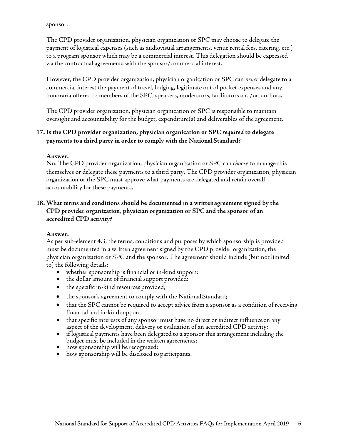sponsor.

The CPD provider organization, physician organization or SPC may choose to delegate the payment of logistical expenses (such as audiovisual arrangements, venue rental fees, catering, etc.) to a program sponsor which may be a commercial interest. This delegation should be expressed via the contractual agreements with the sponsor/commercial interest.

However, the CPD provider organization, physician organization or SPC can *never* delegate to a commercial interest the payment of travel, lodging, legitimate out of pocket expenses and any honoraria offered to members of the SPC, speakers, moderators, facilitators and/or, authors.

The CPD provider organization, physician organization or SPC is responsible to maintain oversight and accountability for the budget, expenditure(s) and deliverables of the agreement.

## **17. Is the CPD provider organization, physician organization or SPC** *required* **to delegate payments toa third party in order to comply with the National Standard?**

### **Answer:**

No. The CPD provider organization, physician organization or SPC can *choose* to manage this themselves or delegate these payments to a third party. The CPD provider organization, physician organization or the SPC must approve what payments are delegated and retain overall accountability for these payments.

## **18. What terms and conditions should be documented in a writtenagreement signed by the CPD provider organization, physician organization or SPC and the sponsor of an accredited CPD activity?**

#### **Answer:**

As per sub-element 4.3, the terms, conditions and purposes by which sponsorship is provided must be documented in a written agreement signed by the CPD provider organization, the physician organization or SPC and the sponsor. The agreement should include (but not limited to) the following details:

- whether sponsorship is financial or in-kind support;
- the dollar amount of financial support provided;
- the specific in-kind resources provided;
- the sponsor's agreement to comply with the National Standard;
- that the SPC cannot be required to accept advice from a sponsor as a condition of receiving financial and in-kind support;
- that specific interests of any sponsor must have no direct or indirect influence on any aspect of the development, delivery or evaluation of an accredited CPD activity;
- if logistical payments have been delegated to a sponsor this arrangement including the budget must be included in the written agreements;
- how sponsorship will be recognized;
- how sponsorship will be disclosed to participants.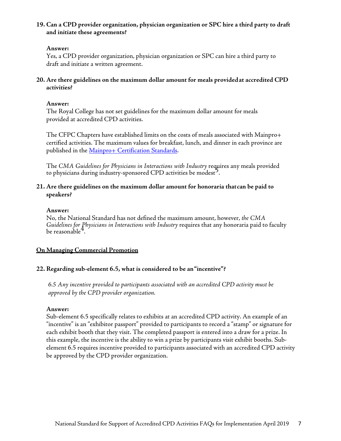## **19. Can a CPD provider organization, physician organization or SPC hire a third party to draft and initiate these agreements?**

#### **Answer:**

Yes, a CPD provider organization, physician organization or SPC can hire a third party to draft and initiate a written agreement.

### **20. Are there guidelines on the maximum dollar amount for meals providedat accredited CPD activities?**

#### **Answer:**

The Royal College has not set guidelines for the maximum dollar amount for meals provided at accredited CPD activities.

The CFPC Chapters have established limits on the costs of meals associated with Mainpro+ certified activities. The maximum values for breakfast, lunch, and dinner in each province are published in th[e Mainpro+ Certification Standards.](http://www.cfpc.ca/mainpro-certification-standards)

The *CMA Guidelines for Physicians in Interactions with Industry* requires any meals provided to physicians during industry-sponsored CPD activities be modest<sup>2</sup>.

### **21. Are there guidelines on the maximum dollar amount for honoraria thatcan be paid to speakers?**

#### **Answer:**

No, the National Standard has not defined the maximum amount, however, *the CMA Guidelines for Physicians in Interactions with Industry* requires that any honoraria paid to faculty be reasonable<sup>4</sup>.

### **On Managing Commercial Promotion**

### **22. Regarding sub-element 6.5, what is considered to be an"incentive"?**

*6.5 Any incentive provided to participants associated with an accredited CPD activity must be approved by the CPD provider organization.*

#### **Answer:**

<span id="page-6-0"></span>Sub-element 6.5 specifically relates to exhibits at an accredited CPD activity. An example of an "incentive" is an "exhibitor passport" provided to participants to record a "stamp" or signature for each exhibit booth that they visit. The completed passport is entered into a draw for a prize. In this example, the incentive is the ability to win a prize by participants visit exhibit booths. Subelement 6.5 requires incentive provided to participants associated with an accredited CPD activity be approved by the CPD provider organization.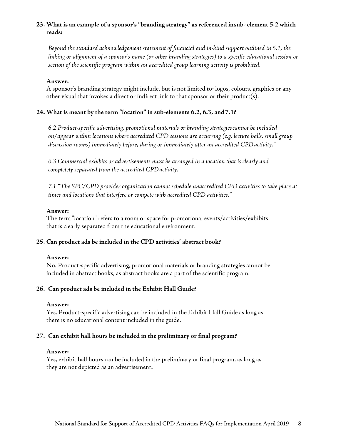## **23. What is an example of a sponsor's "branding strategy" as referenced insub- element 5.2 which reads:**

*Beyond the standard acknowledgement statement of financial and in-kind support outlined in 5.1, the linking or alignment of a sponsor's name (or other branding strategies) to a specific educational session or section of the scientific program within an accredited group learning activity is prohibited.*

#### **Answer:**

A sponsor's branding strategy might include, but is not limited to: logos, colours, graphics or any other visual that invokes a direct or indirect link to that sponsor or their product(s).

### **24. What is meant by the term "location" in sub-elements 6.2, 6.3, and7.1?**

*6.2 Product-specific advertising, promotional materials or branding strategiescannot be included on/appear within locations where accredited CPD sessions are occurring (e.g. lecture halls, small group discussion rooms) immediately before, during or immediately after an accredited CPDactivity."*

*6.3 Commercial exhibits or advertisements must be arranged in a location that is clearly and completely separated from the accredited CPD activity.* 

*7.1 "The SPC/CPD provider organization cannot schedule unaccredited CPD activities to take place at times and locations that interfere or compete with accredited CPD activities."*

### **Answer:**

The term "location" refers to a room or space for promotional events/activities/exhibits that is clearly separated from the educational environment.

### **25. Can product ads be included in the CPD activities' abstract book?**

### **Answer:**

No. Product-specific advertising, promotional materials or branding strategiescannot be included in abstract books, as abstract books are a part of the scientific program.

### **26. Can product ads be included in the Exhibit Hall Guide?**

### **Answer:**

Yes. Product-specific advertising can be included in the Exhibit Hall Guide as long as there is no educational content included in the guide.

### **27. Can exhibit hall hours be included in the preliminary or final program?**

#### **Answer:**

Yes, exhibit hall hours can be included in the preliminary or final program, as long as they are not depicted as an advertisement.